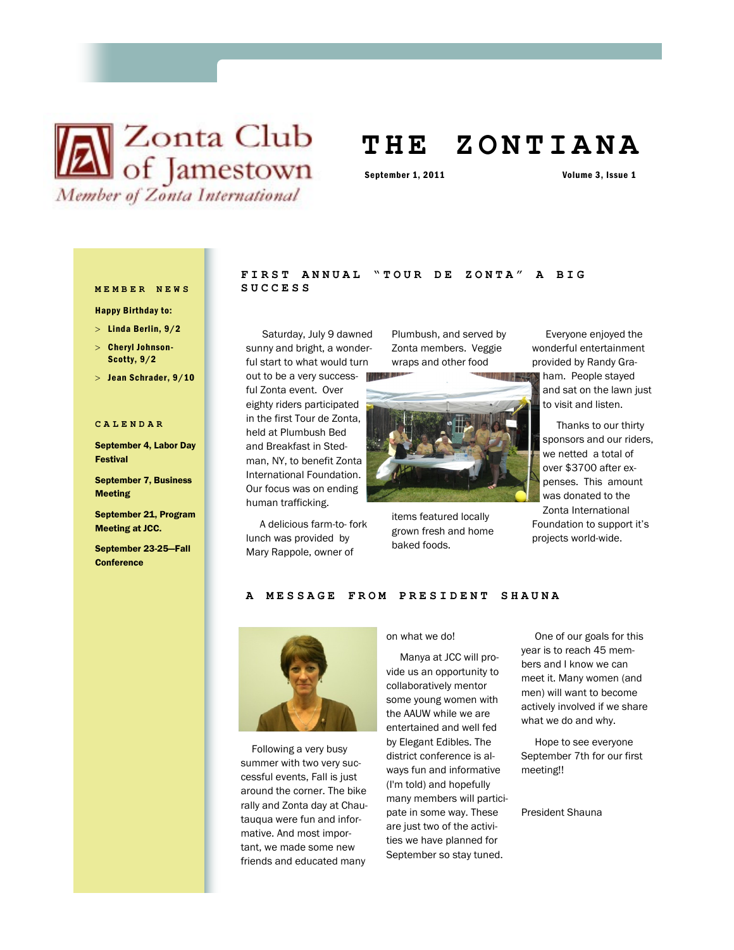# **X** Club of Jamestown Member of Zonta International

# **T H E Z O N T I A N A**

September 1, 2011 Volume 3, Issue 1

#### **MEMBER NEWS SUCCESS**

Happy Birthday to:

- $>$  Linda Berlin,  $9/2$
- Cheryl Johnson-Scotty, 9/2
- $>$  Jean Schrader,  $9/10$

#### **CALENDAR**

September 4, Labor Day Festival

September 7, Business Meeting

September 21, Program Meeting at JCC.

September 23-25—Fall **Conference** 

# FIRST ANNUAL "TOUR DE ZONTA" A BIG

 Saturday, July 9 dawned sunny and bright, a wonderful start to what would turn out to be a very successful Zonta event. Over eighty riders participated in the first Tour de Zonta, held at Plumbush Bed and Breakfast in Stedman, NY, to benefit Zonta International Foundation. Our focus was on ending human trafficking.

 A delicious farm-to- fork lunch was provided by Mary Rappole, owner of

Plumbush, and served by Zonta members. Veggie wraps and other food



items featured locally grown fresh and home baked foods.

 Everyone enjoyed the wonderful entertainment provided by Randy Gra-

ham. People stayed and sat on the lawn just to visit and listen.

 Thanks to our thirty sponsors and our riders, we netted a total of over \$3700 after expenses. This amount was donated to the Zonta International

Foundation to support it's projects world-wide.

### **A MESSAGE FROM PRESI D E N T S H A U N A**



 Following a very busy summer with two very successful events, Fall is just around the corner. The bike rally and Zonta day at Chautauqua were fun and informative. And most important, we made some new friends and educated many

on what we do!

 Manya at JCC will provide us an opportunity to collaboratively mentor some young women with the AAUW while we are entertained and well fed by Elegant Edibles. The district conference is always fun and informative (I'm told) and hopefully many members will participate in some way. These are just two of the activities we have planned for September so stay tuned.

 One of our goals for this year is to reach 45 members and I know we can meet it. Many women (and men) will want to become actively involved if we share what we do and why.

 Hope to see everyone September 7th for our first meeting!!

President Shauna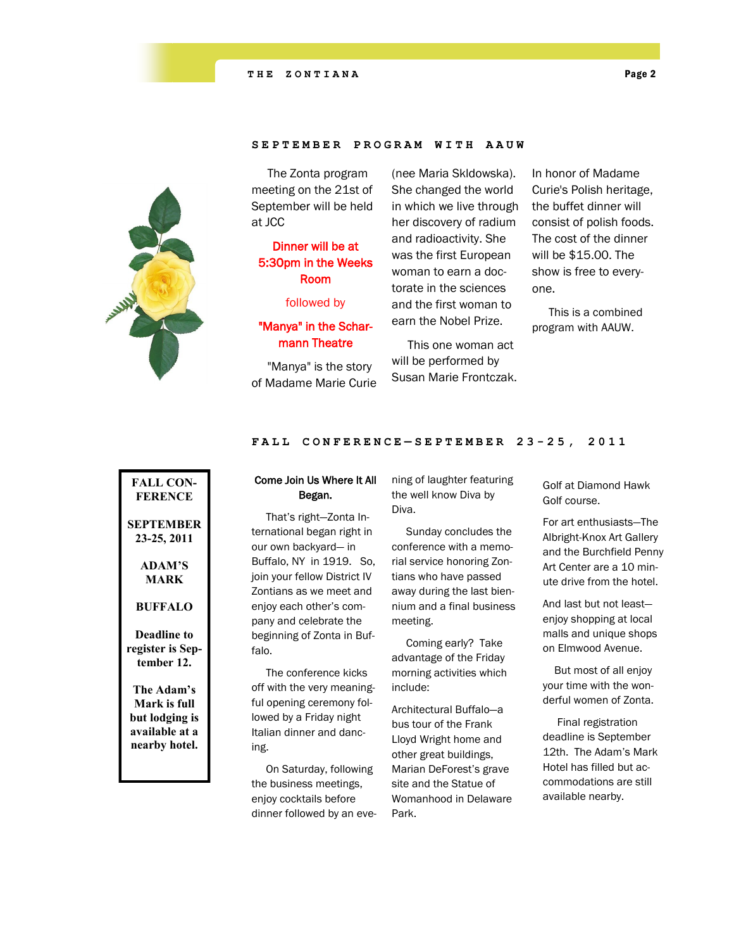## SEPTEMBER PROGRAM WITH AAUW

 The Zonta program meeting on the 21st of September will be held at JCC

# Dinner will be at 5:30pm in the Weeks Room

followed by

# "Manya" in the Scharmann Theatre

 "Manya" is the story of Madame Marie Curie (nee Maria Skldowska). She changed the world in which we live through her discovery of radium and radioactivity. She was the first European woman to earn a doctorate in the sciences and the first woman to earn the Nobel Prize.

 This one woman act will be performed by Susan Marie Frontczak.

In honor of Madame Curie's Polish heritage, the buffet dinner will consist of polish foods. The cost of the dinner will be \$15.00. The show is free to everyone.

 This is a combined program with AAUW.

#### **FALL CONFERENCE — SEPT E M B E R 2 3 - 25, 2011**

# **FALL CON-FERENCE SEPTEMBER 23-25, 2011 ADAM'S MARK BUFFALO Deadline to register is September 12. The Adam's**

**Mark is full but lodging is available at a nearby hotel.**

# Come Join Us Where It All Began.

 That's right—Zonta International began right in our own backyard— in Buffalo, NY in 1919. So, join your fellow District IV Zontians as we meet and enjoy each other's company and celebrate the beginning of Zonta in Buffalo.

 The conference kicks off with the very meaningful opening ceremony followed by a Friday night Italian dinner and dancing.

 On Saturday, following the business meetings, enjoy cocktails before dinner followed by an evening of laughter featuring the well know Diva by Diva.

 Sunday concludes the conference with a memorial service honoring Zontians who have passed away during the last biennium and a final business meeting.

 Coming early? Take advantage of the Friday morning activities which include:

Architectural Buffalo—a bus tour of the Frank Lloyd Wright home and other great buildings, Marian DeForest's grave site and the Statue of Womanhood in Delaware Park.

Golf at Diamond Hawk Golf course.

For art enthusiasts—The Albright-Knox Art Gallery and the Burchfield Penny Art Center are a 10 minute drive from the hotel.

And last but not least enjoy shopping at local malls and unique shops on Elmwood Avenue.

 But most of all enjoy your time with the wonderful women of Zonta.

 Final registration deadline is September 12th. The Adam's Mark Hotel has filled but accommodations are still available nearby.